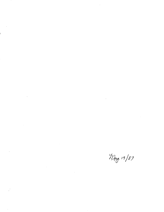May 19/87

 $\frac{1}{2} \left( \frac{1}{2} \right)$ 

 $\mathcal{S}^{\text{max}}_{\text{max}}$ 

 $\mathcal{L}^{\text{max}}$ 

 $\frac{1}{2} \frac{1}{2} \frac{1}{2}$ 

 $\hat{\mathcal{A}}$ 

 $\mathcal{L}^{\text{max}}_{\text{max}}$  and  $\mathcal{L}^{\text{max}}_{\text{max}}$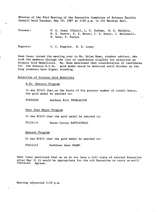Minutes of the 93rd Meeting of the Executive Committee of Science Faculty Council held Tuesday, May 19, 1987 at 2:00 p.m. in 231 Machray Hall.

Present: P. K. Isaac (Chair), L. C. Graham, W. G. Baldwin, N. R. Hunter, K. S. Mount; C. E. Henry, J. McConnell, H. Rowe, P. Pachol

Regrets: C. C. Bigelow, N. E. Losey

Dean Isaac turned the meeting over to Ms. Helen Rowe, student advisor, who took the members through the list of candidates eligible for selection as Science Gold Medallists. Ms. Rowe mentioned that consideration of candidates for the Honours B.C.Sc. gold medal would be deferred until October as the Coop students have higher standing.

## Selection of Science Gold Medalists

B.Sc. Honours Program

It was M/S/C that,on the basis of his greater number of credit hours, the gold medal be awarded to:

#5602606 Anthony Eric THORLACIUS

Four Year Major Program

It was M/S/C that the gold medal be awarded to:

#5324174 Susan Carole BATTISTUZZI

General Program

It was M/S/C that the gold medal be awarded to:

#5621145 Kathleen Anne CRANG

Dean Isaac mentioned that as we do not have a full slate of elected Executive after May 31 it would be appropriate for the old Executive to carry on until replaced. Agreed.

Meeting adjourned 3:20 p.m.